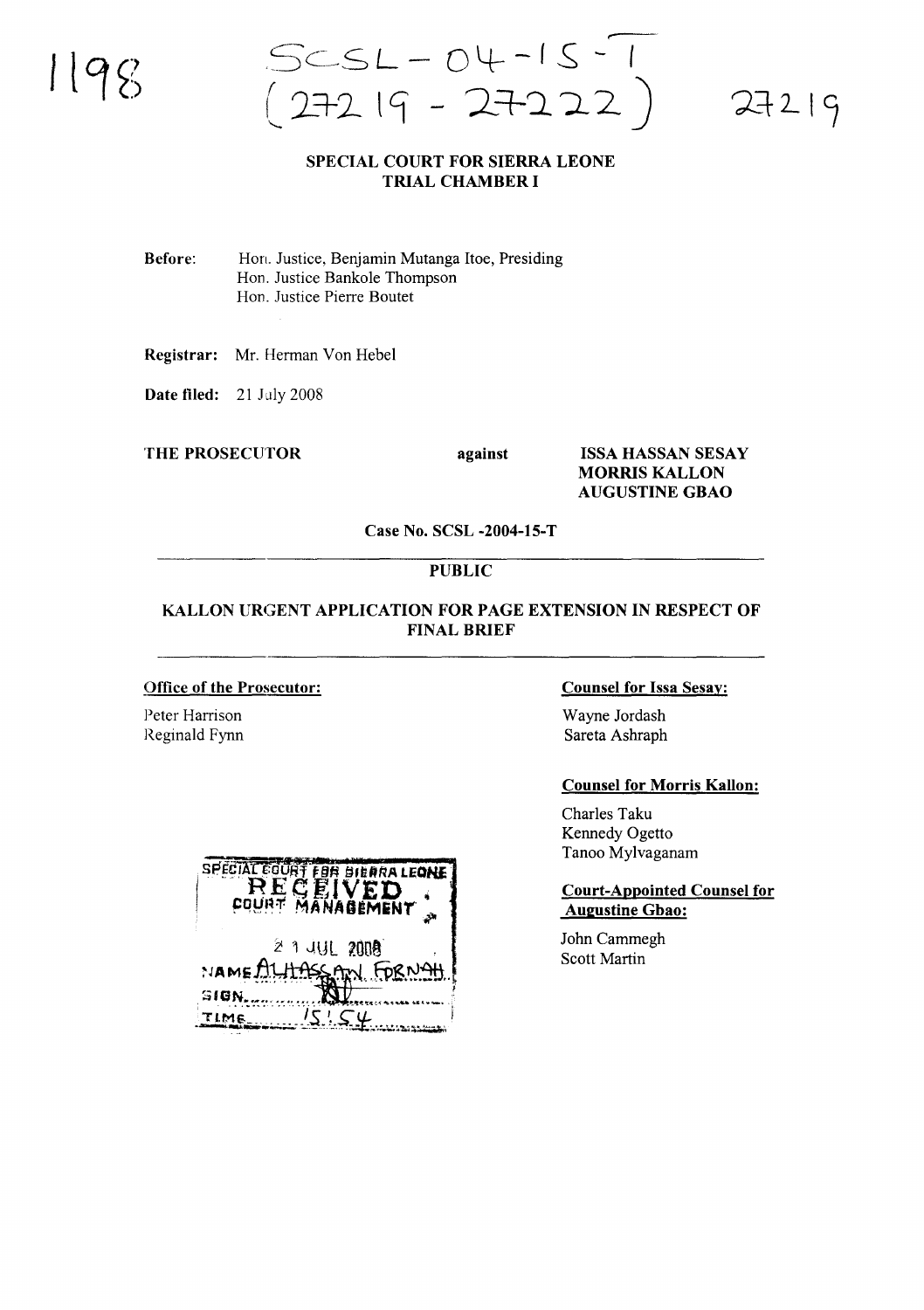$5CSL - O4 - 15 - 1$ <br>272 19 - 2722)

# $27219$

#### **SPECIAL COURT FOR SIERRA LEONE TRIAL CHAMBER I**

**Before:** Hon. Justice, Benjamin Mutanga Itoe, Presiding Hon. Justice Bankole Thompson Hon. Justice Pierre Boutet

Registrar: Mr. Herman Von Hebel

Date filed: 21 July 2008

**THE PROSECUTOR** 

against

**ISSA HASSAN SESAY MORRIS KALLON AUGUSTINE GBAO** 

Case No. SCSL -2004-15-T

#### **PUBLIC**

#### KALLON URGENT APPLICATION FOR PAGE EXTENSION IN RESPECT OF **FINAL BRIEF**

#### **Office of the Prosecutor:**

Peter Harrison Reginald Fynn

#### **Counsel for Issa Sesay:**

Wayne Jordash Sareta Ashraph

#### **Counsel for Morris Kallon:**

Charles Taku Kennedy Ogetto Tanoo Mylvaganam

#### **Court-Appointed Counsel for Augustine Gbao:**

John Cammegh **Scott Martin** 

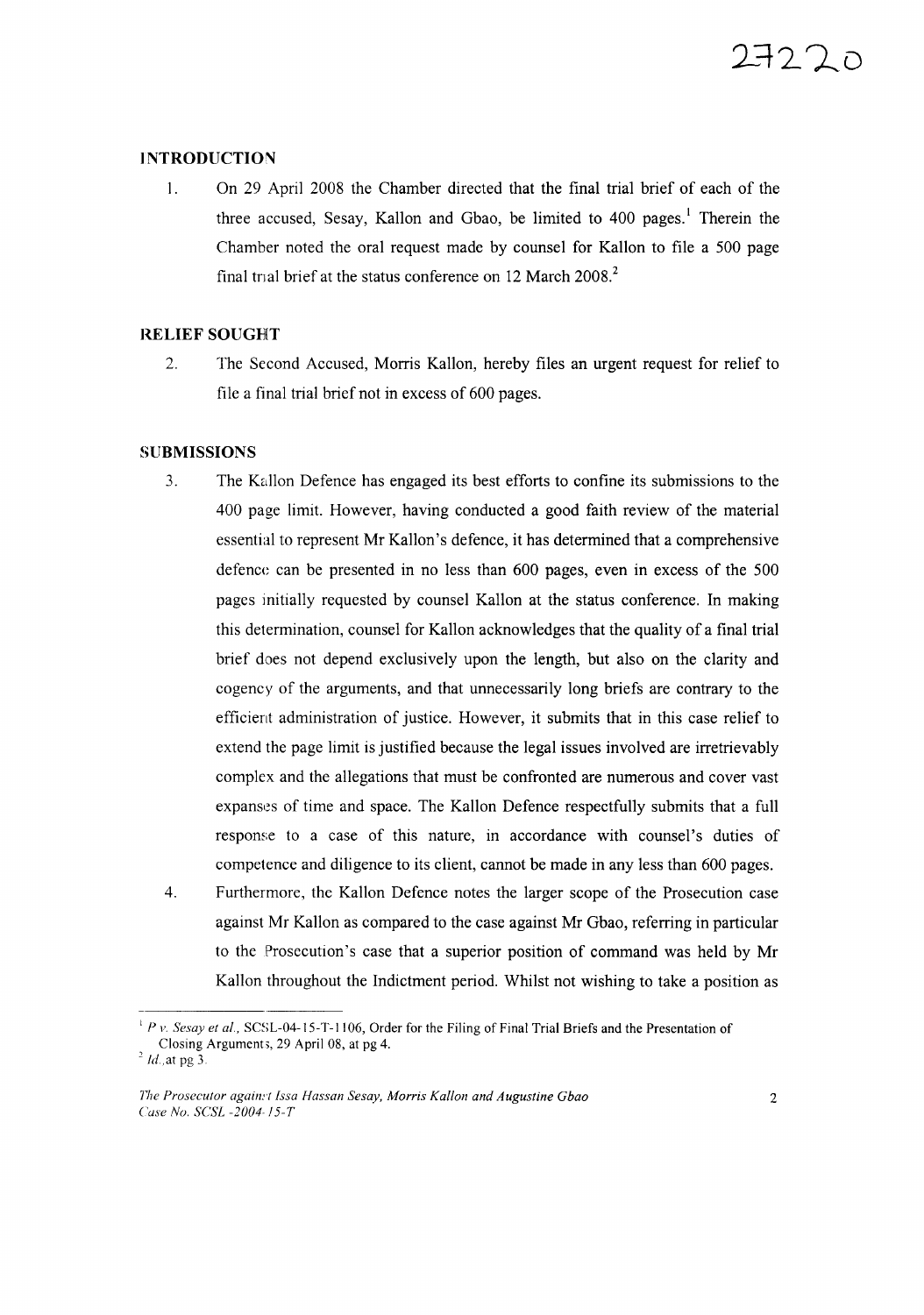#### **INTRODUCTION**

1. On 29 April 200S the Chamber directed that the final trial brief of each of the three accused, Sesay, Kallon and Gbao, be limited to 400 pages.<sup>1</sup> Therein the Chamber noted the oral request made by counsel for Kallon to file a 500 page final trial brief at the status conference on 12 March 2008.<sup>2</sup>

#### **RELIEF** SOUGHT

2. The Second Accused, Morris Kallon, hereby files an urgent request for relief to file a final trial brief not in excess of 600 pages.

#### **SUBMISSIONS**

- 3. The Kallon Defence has engaged its best efforts to confine its submissions to the 400 page limit. However, having conducted a good faith review of the material essential to represent Mr Kallon's defence, it has determined that a comprehensive defence can be presented in no less than 600 pages, even in excess of the 500 pages initially requested by counsel Kallon at the status conference. In making this determination, counsel for Kallon acknowledges that the quality of a final trial brief does not depend exclusively upon the length, but also on the clarity and cogency of the arguments, and that unnecessarily long briefs are contrary to the efficient administration of justice. However, it submits that in this case relief to extend the page limit is justified because the legal issues involved are irretrievably complex and the allegations that must be confronted are numerous and cover vast expanses of time and space. The Kallon Defence respectfully submits that a full response to a case of this nature, in accordance with counsel's duties of competence and diligence to its client, cannot be made in any less than 600 pages.
- 4. Furthermore, the Kallon Defence notes the larger scope of the Prosecution case against Mr Kallon as compared to the case against Mr Gbao, referring in particular to the Prosecution's case that a superior position of command was held by Mr Kallon throughout the Indictment period. Whilst not wishing to take a position as

<sup>&</sup>lt;sup>1</sup> *P v. Sesay et al.*, SCSL-04-15-T-1106, Order for the Filing of Final Trial Briefs and the Presentation of Closing Arguments, 29 April 08, at pg 4.

 $2^2$  *Id.*, at pg 3.

*T'lle Prosecutor again.,·t fssa Hassan Sesay, Morris Kallon and Augustine Gbao Case Nu. SCSI -2004-* ! 5-*T*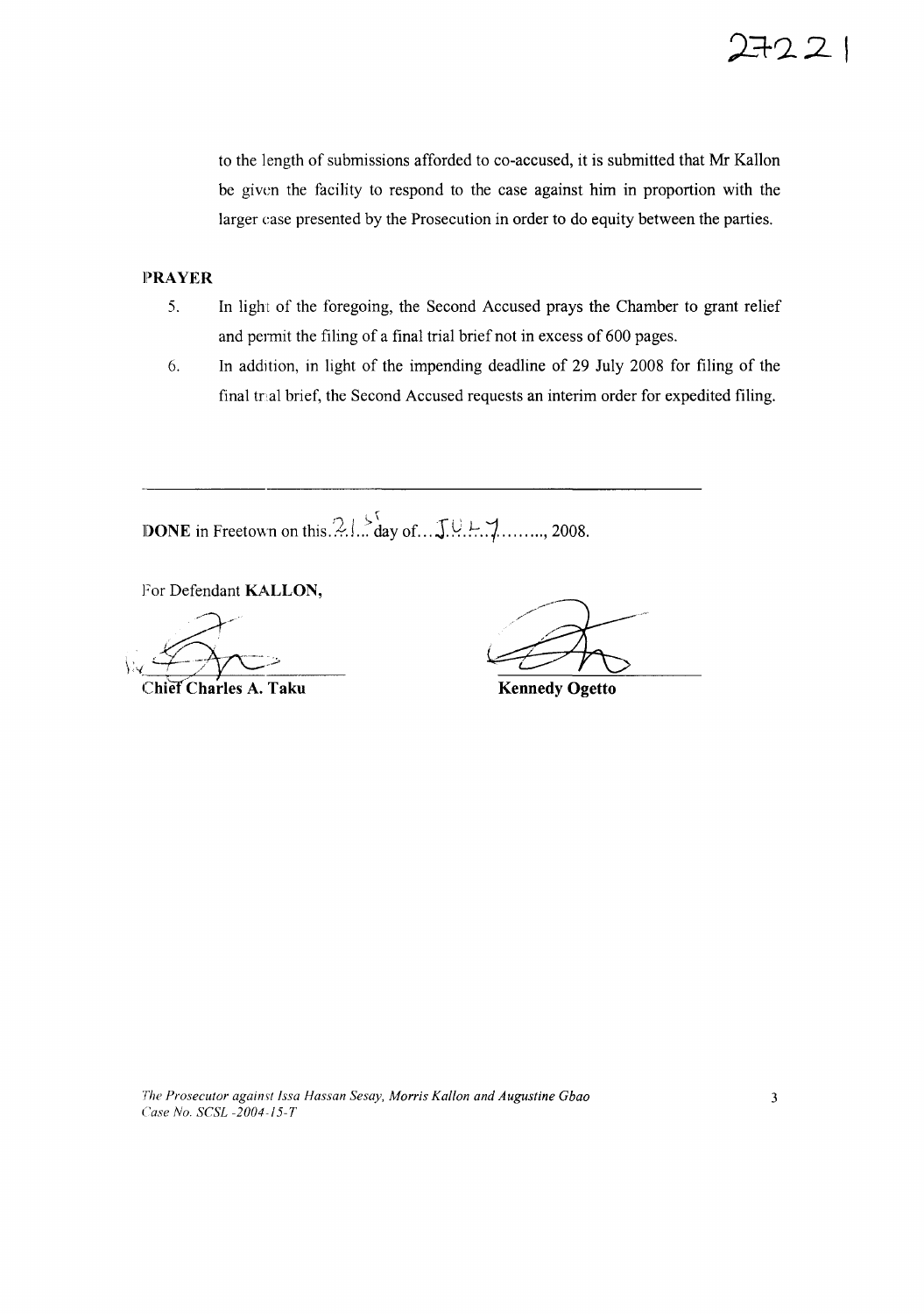to the length of submissions afforded to co-accused, it is submitted that Mr Kallon be given the facility to respond to the case against him in proportion with the larger case presented by the Prosecution in order to do equity between the parties.

#### **II)RAYER**

- 5. In light of the foregoing, the Second Accused prays the Chamber to grant relief and permit the filing of a final trial brief not in excess of 600 pages.
- 6. In addltion, in light of the impending deadline of 29 July 2008 for filing of the final traal brief, the Second Accused requests an interim order for expedited filing.

**DONE** in Freetown on this......... day of...  $\int_{0}^{5}$  U.L.  $\int_{1}^{7}$ ........, 2008.

For Defendant **KALLON,**

Chief Charles A. Taku

**Kennedy Ogetto**

*The Prosecutor against Issa Hassan Sesay, Morris Kallon and Augustine Gbao Case No. SCSI -2004-15-T*

722